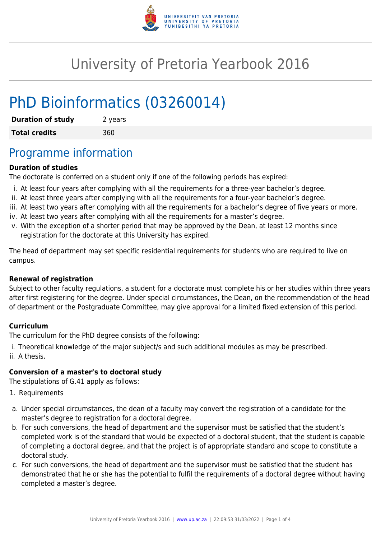

# University of Pretoria Yearbook 2016

# PhD Bioinformatics (03260014)

| <b>Duration of study</b> | 2 years |
|--------------------------|---------|
| <b>Total credits</b>     | 360     |

## Programme information

### **Duration of studies**

The doctorate is conferred on a student only if one of the following periods has expired:

- i. At least four years after complying with all the requirements for a three-year bachelor's degree.
- ii. At least three years after complying with all the requirements for a four-year bachelor's degree.
- iii. At least two years after complying with all the requirements for a bachelor's degree of five years or more.
- iv. At least two years after complying with all the requirements for a master's degree.
- v. With the exception of a shorter period that may be approved by the Dean, at least 12 months since registration for the doctorate at this University has expired.

The head of department may set specific residential requirements for students who are required to live on campus.

### **Renewal of registration**

Subject to other faculty regulations, a student for a doctorate must complete his or her studies within three years after first registering for the degree. Under special circumstances, the Dean, on the recommendation of the head of department or the Postgraduate Committee, may give approval for a limited fixed extension of this period.

### **Curriculum**

The curriculum for the PhD degree consists of the following:

i. Theoretical knowledge of the major subject/s and such additional modules as may be prescribed. ii. A thesis.

### **Conversion of a master's to doctoral study**

The stipulations of G.41 apply as follows:

- 1. Requirements
- a. Under special circumstances, the dean of a faculty may convert the registration of a candidate for the master's degree to registration for a doctoral degree.
- b. For such conversions, the head of department and the supervisor must be satisfied that the student's completed work is of the standard that would be expected of a doctoral student, that the student is capable of completing a doctoral degree, and that the project is of appropriate standard and scope to constitute a doctoral study.
- c. For such conversions, the head of department and the supervisor must be satisfied that the student has demonstrated that he or she has the potential to fulfil the requirements of a doctoral degree without having completed a master's degree.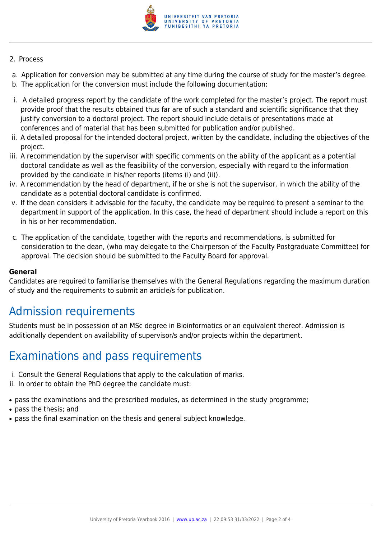

#### 2. Process

- a. Application for conversion may be submitted at any time during the course of study for the master's degree.
- b. The application for the conversion must include the following documentation:
- i. A detailed progress report by the candidate of the work completed for the master's project. The report must provide proof that the results obtained thus far are of such a standard and scientific significance that they justify conversion to a doctoral project. The report should include details of presentations made at conferences and of material that has been submitted for publication and/or published.
- ii. A detailed proposal for the intended doctoral project, written by the candidate, including the objectives of the project.
- iii. A recommendation by the supervisor with specific comments on the ability of the applicant as a potential doctoral candidate as well as the feasibility of the conversion, especially with regard to the information provided by the candidate in his/her reports (items (i) and (ii)).
- iv. A recommendation by the head of department, if he or she is not the supervisor, in which the ability of the candidate as a potential doctoral candidate is confirmed.
- v. If the dean considers it advisable for the faculty, the candidate may be required to present a seminar to the department in support of the application. In this case, the head of department should include a report on this in his or her recommendation.
- c. The application of the candidate, together with the reports and recommendations, is submitted for consideration to the dean, (who may delegate to the Chairperson of the Faculty Postgraduate Committee) for approval. The decision should be submitted to the Faculty Board for approval.

### **General**

Candidates are required to familiarise themselves with the General Regulations regarding the maximum duration of study and the requirements to submit an article/s for publication.

## Admission requirements

Students must be in possession of an MSc degree in Bioinformatics or an equivalent thereof. Admission is additionally dependent on availability of supervisor/s and/or projects within the department.

## Examinations and pass requirements

- i. Consult the General Regulations that apply to the calculation of marks.
- ii. In order to obtain the PhD degree the candidate must:
- pass the examinations and the prescribed modules, as determined in the study programme;
- pass the thesis; and
- pass the final examination on the thesis and general subject knowledge.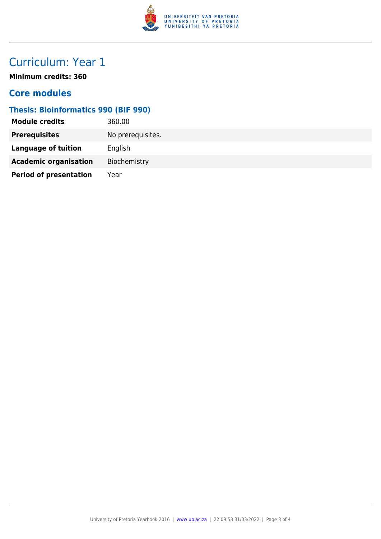

# Curriculum: Year 1

**Minimum credits: 360**

### **Core modules**

### **Thesis: Bioinformatics 990 (BIF 990)**

| 360.00            |
|-------------------|
| No prerequisites. |
| English           |
| Biochemistry      |
| Year              |
|                   |